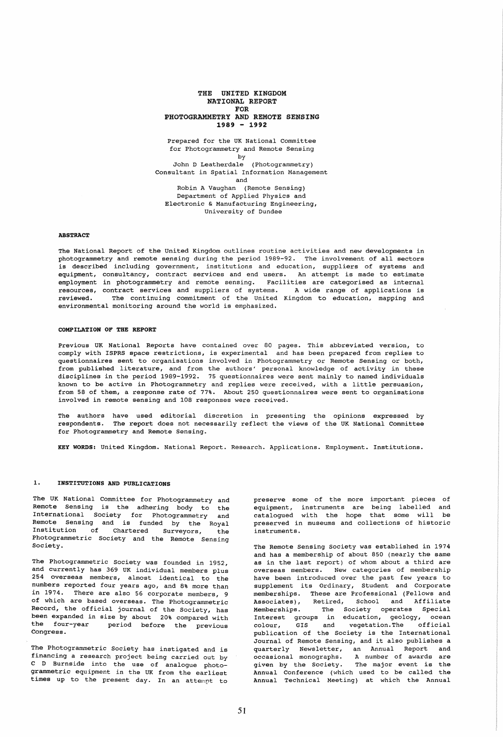### THE UNITED KINGDOM NATIONAL REPORT FOR PHOTOGRAMMETRY AND REMOTE SENSING 1989 - 1992

Prepared for the UK National Committee for Photogrammetry and Remote Sensing by John D Leatherdale (Photogrammetry) Consultant in Spatial Information Management and Robin A Vaughan (Remote Sensing) Department of Applied Physics and Electronic & Manufacturing Engineering, University of Dundee

### **ABSTRACT**

The National Report of the United Kingdom outlines routine activities and new developments in photogrammetry and remote sensing during the period 1989-92. The involvement of all sectors is described including government, institutions and education, suppliers of systems and equipment, consultancy, contract services and end users. An attempt is made to estimate employment in photogrammetry and remote sensing. Facilities are categorised as internal resources, contract services and suppliers of systems. A wide range of applications is<br>reviewed. The continuing commitment of the United Kingdom to education, mapping and The continuing commitment of the United Kingdom to education, mapping and environmental monitoring around the world is emphasized.

#### COMPILATION OF THE REPORT

Previous UK National Reports have contained over 80 pages. This abbreviated version, to comply with ISPRS space restrictions, is experimental and has been prepared from replies to questionnaires sent to organisations involved in Photogrammetry or Remote Sensing or both, from published literature, and from the authors' personal knowledge of activity in these disciplines in the period 1989-1992. 75 questionnaires were sent mainly to named individuals known to be active in Photogrammetry and replies were received, with a little persuasion, from 58 of them, a response rate of 77%. About 250 questionnaires were sent to organisations involved in remote sensing and 108 responses were received.

The authors have used editorial discretion in presenting the opinions expressed by respondents. The report does not necessarily reflect the views of the UK National Committee for Photogrammetry and Remote Sensing.

KEY WORDS: United Kingdom. National Report. Research. Applications. Employment. Institutions.

#### 1. INSTITUTIONS AND PUBLICATIONS

The UK National Committee for Photogrammetry and Remote Sensing is the adhering body to the International Society for Photogrammetry and Remote Sensing and is funded by the Royal Institution of Chartered Surveyors, the Photogrammetric Society and the Remote Sensing Society.

The Photogrammetric Society was founded in 1952, and currently has 369 UK individual members plus 254 overseas members, almost identical to the numbers reported four years ago, and 8% more than in 1974. There are also 56 corporate members, 9 of which are based overseas. The Photogrammetric Record, the official journal of the Society, has been expanded in size by about 20% compared with the four-year period before the previous Congress.

The Photogrammetric Society has instigated and is financing a research project being carried out by C D Burnside into the use of analogue photogrammetric equipment in the UK from the earliest times up to the present day. In an attempt to preserve some of the more important pieces of .<br>equipment, instruments are being labelled and catalogued with the hope that some will be preserved in museums and collections of historic instruments.

The Remote Sensing Society was established in 1974 and has a membership of about 850 (nearly the same as in the last report) of whom about a third are overseas members. New categories of membership have been introduced over the past few years to supplement its Ordinary, Student and corporate memberships. These are Professional (Fellows and Associates), Retired, School and Affiliate Memberships. The Society operates Special Interest groups in education, geology, ocean colour, GIS and vegetation. The official colour, GIS and vegetation. The official<br>publication of the Society is the International Journal of Remote Sensing, and it also publishes a quarterly Newsletter, an Annual Report and occasional monographs. A number of awards are given by the Society. The major event is the Annual Conference (which used to be called the Annual Technical Meeting) at which the Annual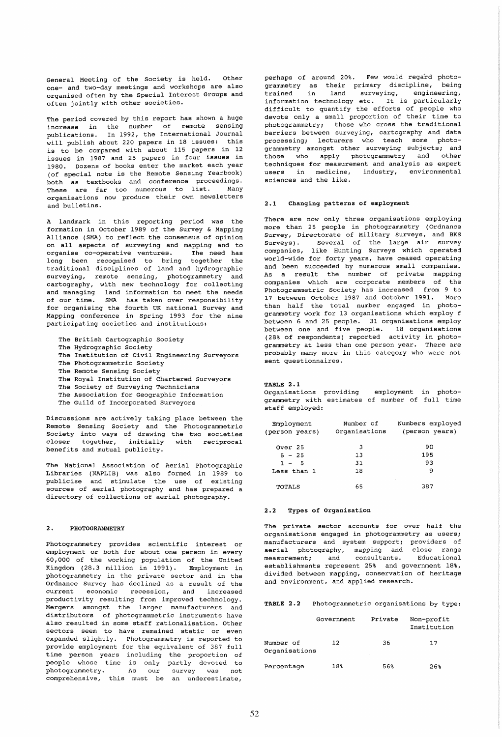General Meeting of the Society is held. Other one- and two-day meetings and workshops are also organised often by the special Interest Groups and often jointly with other societies.

The period covered by this report has shown a huge increase in the number of remote sensing publications. In 1992, the International Journal will publish about 220 papers in 18 issues: this is to be compared with about 115 papers in 12 issues in 1987 and 25 papers in four issues in 1980. Dozens of books enter the market each year (of special note is the Remote Sensing Yearbook) both as textbooks and conference proceedings. These are far too numerous to list. Many organisations now produce their own newsletters and bulletins.

A landmark in this reporting period was the formation in October 1989 of the Survey & Mapping Alliance (SMA) to reflect the consensus of opinion on all aspects of surveying and mapping and to organise co-operative ventures. The need has long been recognised to bring together the traditional disciplines of land and hydrographic surveying, remote sensing, photogrammetry and cartography, with new technology for collecting and managing land information to meet the needs of our time. SMA has taken over responsibility for organising the fourth UK national Survey and Mapping conference in Spring 1993 for the nine participating societies and institutions:

- The British Cartographic society
- The Hydrographic Society
- The Institution of Civil Engineering Surveyors
- The Photogrammetric Society
- The Remote Sensing Society
- The Royal Institution of Chartered Surveyors
- The Society of Surveying Technicians
- The Association for Geographic Information
- The Guild of Incorporated Surveyors

Discussions are actively taking place between the Remote Sensing Society and the Photogrammetric Society into ways of drawing the two societies<br>closer together, initially with reciprocal together, initially benefits and mutual publicity.

The National Association of Aerial Photographic Libraries (NAPLIB) was also formed in 1989 to publicise and stimulate the use of existing sources of aerial photography and has prepared a directory of collections of aerial photography.

#### 2. PHOTOGRAMMETRY

Photogrammetry provides scientific interest or employment or both for about one person in every 60,000 of the working population of the United Kingdom (28.3 million in 1991). Employment in photogrammetry in the private sector and in the Ordnance Survey has declined as a result of the current economic recession, and increased productivity resulting from improved technology. Mergers amongst the larger manufacturers and distributors of photogrammetric instruments have also resulted in some staff rationalisation. Other sectors seem to have remained static or even expanded slightly. Photogrammetry is reported to provide employment for the equivalent of 387 full time person years including the proportion of people whose time is only partly devoted to photogrammetry. As our survey was not comprehensive, this must be an underestimate,

perhaps of around 20%. Few would regard photogrammetry as their primary discipline, being<br>trained in land surveving. engineering trained in land surveying, engineering, information technology etc. It is particularly difficult to quantify the efforts of people who devote only a small proportion of their time to photogrammetry; those who cross the traditional barriers between surveying, cartography and data processing; lecturers who teach some photogrammetry amongst other surveying subjects; and those who apply photogrammetry and other techniques for measurement and analysis as expert users in medicine, industry, environmental sciences and the like.

### 2.1 Changing patterns of employment

There are now only three organisations employing more than 25 people in photogrammetry (Ordnance Survey, Directorate of Military Surveys, and BKS surveys). Several of the large air survey companies, like Hunting Surveys which operated world-wide for forty years, have ceased operating and been succeeded by numerous small companies. As a result the number of private mapping companies which are corporate members of the Photogrammetric Society has increased from 9 to 17 between October 1987 and October 1991. than half the total number engaged in photogrammetry work for 13 organisations which employ f between 6 and 25 people. 31 organisations employ between one and five people. 18 organisations (28% of respondents) reported activity in photogrammetry at less than one person year. There are probably many more in this category who were not sent questionnaires.

TABLE 2.1

Organisations providing employment in photogrammetry with estimates of number of full time staff employed:

| Employment<br>(person years) | Number of<br>Organisations | Numbers employed<br>(person years) |
|------------------------------|----------------------------|------------------------------------|
| Over 25                      | 3                          | 90                                 |
| $6 - 25$                     | 13                         | 195                                |
| $1 - 5$                      | 31                         | 93                                 |
| Less than 1                  | 18                         | 9                                  |
| TOTALS                       | 65                         | 387                                |

#### 2.2 Types of Organisation

The private sector accounts for over half the organisations engaged in photogrammetry as users; manufacturers and system support; providers of aerial photography, mapping and close range measurement; and consultants. Educational establishments represent 25% and government 18%, divided between mapping, conservation of heritage and environment, and applied research.

TABLE 2.2 Photogrammetric organisations by type:

|                            | Government | Private | Non-profit<br>Institution |  |
|----------------------------|------------|---------|---------------------------|--|
| Number of<br>Organisations | 12         | 36      | 17                        |  |
| Percentage                 | 18%        | 56%     | 26%                       |  |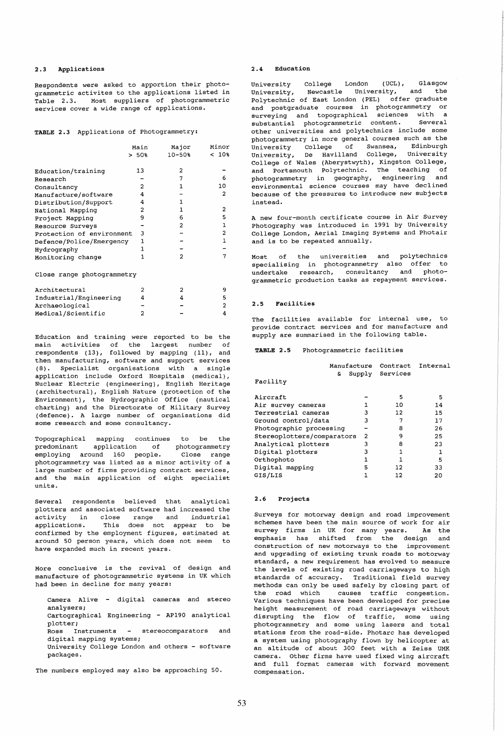#### 2.3 Applications

Respondents were asked to apportion their photogrammetric activites to the applications listed in Table 2.3. Most suppliers of photogrammetric services cover a wide range of applications.

|  |  |  |  | TABLE 2.3 Applications of Photogrammetry: |
|--|--|--|--|-------------------------------------------|
|--|--|--|--|-------------------------------------------|

|                            | Main<br>$>50$ 8 | Major<br>$10 - 50%$ | Minor<br>$< 10$ % |
|----------------------------|-----------------|---------------------|-------------------|
| Education/training         | 13              | 2                   |                   |
| Research                   |                 | 7                   | 6                 |
| Consultancy                | 2               | 1                   | 10                |
| Manufacture/software       | 4               |                     | 2                 |
| Distribution/Support       | 4               | 1                   |                   |
| National Mapping           | 2               | 1                   | 2                 |
| Project Mapping            | 9               | 6                   | 5                 |
| Resource Surveys           |                 | 2                   | 1                 |
| Protection of environment  | 3               |                     | $\overline{a}$    |
| Defence/Police/Emergency   | 1               |                     | $\mathbf{1}$      |
| Hydrography                | 1.              |                     |                   |
| Monitoring change          | 1               | 2                   |                   |
| Close range photogrammetry |                 |                     |                   |
| Architectural              | 2               | 2                   | 9                 |
| Industrial/Engineering     | 4               | 4                   | 5                 |
| Archaeological             |                 |                     | 2                 |
| Medical/Scientific         | 2               |                     | 4                 |

Education and training were reported to be the main activities of the largest number of respondents (13), followed by mapping (11), and then manufacturing, software and support services (8) • Specialist organisations with a single application include Oxford Hospitals (medical), Nuclear Electric (engineering), English Heritage (architectural), English Nature (protection of the Environment), the Hydrographic Office (nautical charting) and the Directorate of Military Survey (defence). A large number of organisations did some research and some consultancy.

Topographical mapping continues to be the predominant application of photogrammetry<br>employing around 160 people. Close range employing around 160 people. photogrammetry was listed as a minor activity of a large number of firms providing contract services, and the main application of eight specialist units.

Several respondents believed that analytical plotters and associated software had increased the .<br>activity in close range and industrial applications. This does not appear to be confirmed by the employment figures, estimated at around 50 person years, which does not seem to have expanded much in recent years.

More conclusive is the revival of design and manufacture of photogrammetric systems in UK which had been in decline for many years:

| Camera Alive - digital cameras and stereo       |
|-------------------------------------------------|
| analysers;                                      |
| Cartographical Engineering - AP190 analytical   |
| plotter:                                        |
| Ross Instruments - stereocomparators<br>and     |
| digital mapping systems;                        |
| University College London and others - software |
| packages.                                       |
|                                                 |

The numbers employed may also be approaching 50.

#### 2.4 Education

University College London (UCL), Glasgow<br>University, Newcastle University, and the Newcastle University, Polytechnic of East London (PEL) offer graduate and postgraduate courses in photogrammetry or surveying and topographical sciences with a substantial photogrammetric content. Several other universities and polytechnics include some photogrammetry in more general courses such as the University college of Swansea, Edinburgh University, De Havilland College, University College of Wales (Aberystwyth), Kingston College, and Portsmouth polytechnic. The teaching of photogrammetry in geography, engineering and environmental science courses may have declined because of the pressures to introduce new subjects instead.

A new four-month certificate course in Air Survey Photography was introduced in 1991 by University College London, Aerial Imaging Systems and Photair and is to be repeated annually.

Most of the universities and polytechnics specialising in photogrammetry also offer to undertake research, consultancy and photogrammetric production tasks as repayment services.

## 2.5 Facilities

The facilities available for internal use, to provide contract services and for manufacture and supply are summarised in the following table.

### TABLE 2.5 Photogrammetric facilities

| Manufacture<br>e.          |                | Contract<br>Supply Services | Internal |
|----------------------------|----------------|-----------------------------|----------|
| Facility                   |                |                             |          |
| Aircraft                   |                | 5                           | 5        |
| Air survey cameras         |                | 10                          | 14       |
| Terrestrial cameras        | 3              | 12                          | 15       |
| Ground control/data        | 3              | 7                           | 17       |
| Photographic processing    |                | 8                           | 26       |
| Stereoplotters/comparators | $\overline{2}$ | 9                           | 25       |
| Analytical plotters        | 3              | 8                           | 23       |
| Digital plotters           | 3              | 1                           | 1        |
| Orthophoto                 | 1              |                             | 5        |
| Digital mapping            | 5              | 12                          | 33       |
| GIS/LIS                    |                | 12                          | 20       |

### 2.6 Projects

Surveys for motorway design and road improvement schemes have been the main source of work for air survey firms in UK for many years. As the emphasis has shifted from the design and construction of new motorways to the improvement and upgrading of existing trunk roads to motorway standard, a new requirement has evolved to measure the levels of existing road carriageways to high standards of accuracy. Traditional field survey methods can only be used safely by closing part of<br>the road which causes traffic congestion. causes traffic congestion. Various techniques have been developed for precise height measurement of road carriageways without disrupting the flow of traffic, some using photogrammetry and some using lasers and total stations from the road-side. Photarc has developed a system using photography flown by helicopter at an altitude of about 300 feet with a Zeiss UMK camera. Other firms have used fixed wing aircraft and full format cameras with forward movement compensation.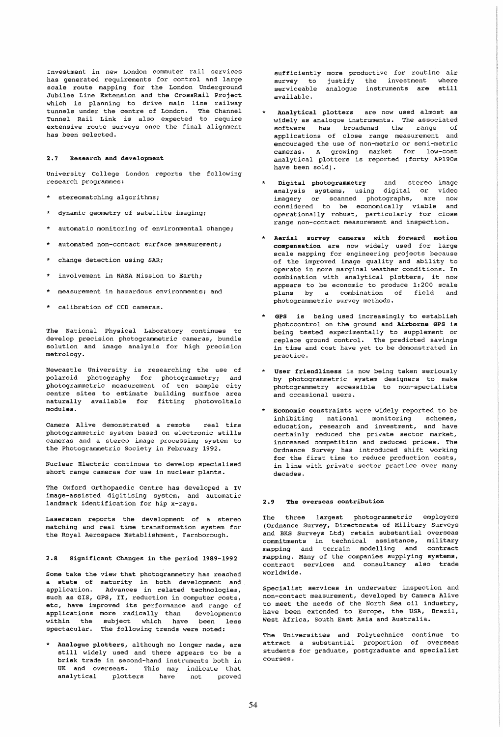Investment in new London commuter rail services has generated requirements for control and large scale route mapping for the London Underground Jubilee Line Extension and the CrossRail Project which is planning to drive main line railway tunnels under the centre of London. The Channel Tunnel Rail Link is also expected to require extensive route surveys once the final alignment has been selected.

### 2.1 Research and development

University College London reports the following research programmes:

- stereomatching algorithms;
- dynamic geometry of satellite imaging;
- automatic monitoring of environmental change;
- automated non-contact surface measurement;
- change detection using SAR;
- involvement in NASA Mission to Earth;
- measurement in hazardous environments; and
- calibration of CCD cameras.

The National Physical Laboratory continues to develop precision photogrammetric cameras, bundle solution and image analysis for high precision metrology.

Newcastle University is researching the use of polaroid photography for photogrammetry; and photogrammetric measurement of ten sample city centre sites to estimate building surface area naturally available for fitting photovoltaic modules.

Camera Alive demonstrated a remote real time photogrammetric system based on electronic stills cameras and a stereo image processing system to the Photogrammetric Society in February 1992.

Nuclear Electric continues to develop specialised short range cameras for use in nuclear plants.

The Oxford Orthopaedic Centre has developed a TV image-assisted digitising system, and automatic landmark identification for hip x-rays.

Laserscan reports the development of a stereo matching and real time transformation system for the Royal Aerospace Establishment, Farnborough.

#### 2.8 Significant Changes in the period 1989-1992

Some take the view that photogrammetry has reached a state of maturity in both development and application. Advances in related technologies, such as GIS, GPS, IT, reduction in computer costs, etc, have improved its performance and range of applications more radically than developments within the subject which have been less spectacular. The following trends were noted:

Analogue plotters, although no longer made, are still widely used and there appears to be a brisk trade in second-hand instruments both in UK and overseas. This may indicate that analytical plotters have not proved sufficiently more productive for routine air<br>survey to justify the investment where survey to justify the investment where serviceable analogue instruments are still available.

- Analytical plotters are now used almost as widely as analogue instruments. The associated software has broadened the range of applications of close range measurement and encouraged the use of non-metric or semi-metric cameras. A growing market for low-cost analytical plotters is reported (forty AP190s have been sold).
- Digital photogrammetry and stereo image analysis systems, using digital or video imagery or scanned photographs, are now considered to be economically viable and operationally robust, particularly for close range non-contact measurement and inspection.
- \* Aerial survey cameras with forward motion compensation are now widely used for large scale mapping for engineering projects because of the improved image quality and ability to operate in more marginal weather conditions. In combination with analytical plotters, it now appears to be economic to produce 1:200 scale plans by a combination of field and photogrammetric survey methods.
- GPS is being used increasingly to establish photocontrol on the ground and Airborne GPS is being tested experimentally to supplement or replace ground control. The predicted savings in time and cost have yet to be demonstrated in practice.
- User friendliness is now being taken seriously by photogrammetric system designers to make photogrammetry accessible to non-specialists and occasional users.
- Economic constraints were widely reported to be inhibiting national monitoring schemes, education, research and investment, and have certainly reduced the private sector market, increased competition and reduced prices. The Ordnance Survey has introduced shift working for the first time to reduce production costs, in line with private sector practice over many decades.

### 2.9 The overseas contribution

The three largest photogrammetric employers (Ordnance Survey, Directorate of Military Surveys and BKS Surveys Ltd) retain substantial overseas<br>commitments in technical assistance, military commitments in technical assistance, mapping and terrain modelling and contract mapping. Many of the companies supplying systems, contract services and consultancy also trade worldwide.

Specialist services in underwater inspection and non-contact measurement, developed by Camera Alive to meet the needs of the North Sea oil industry, have been extended to Europe, the USA, Brazil, West Africa, South East Asia and Australia.

The Universities and Polytechnics continue to attract a substantial proportion of overseas students for graduate, postgraduate and specialist courses.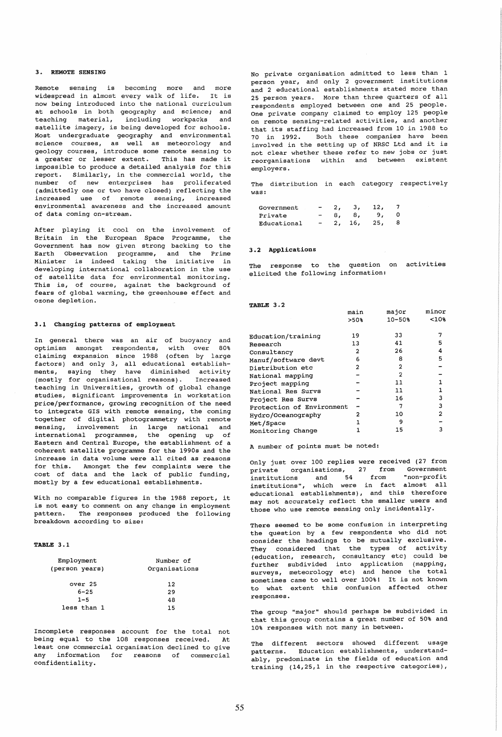# 3. REMOTE SENSING

Remote sensing is becoming more and more widespread in almost every walk of life. It is now being introduced into the national curriculum at schools in both geography and science; and<br>teaching material, including workpacks and teaching material, including workpacks satellite imagery, is being developed for schools. Most undergraduate geography and environmental science courses, as well as meteorology and geology courses, introduce some remote sensing to a greater or lesser extent. This has made it impossible to produce a detailed analysis for this report. Similarly, in the commercial world, the number of new enterprises has proliferated (admittedly one or two have closed) reflecting the increased use of remote sensing, increased environmental awareness and the increased amount of data coming on-stream.

After playing it cool on the involvement of Britain in the European Space Programme, the Government has now given strong backing to the Earth Observation programme, and the Prime Minister is indeed taking the initiative in developing international collaboration in the use of satellite data for environmental monitoring. This is, of course, against the background of fears of global warming, the greenhouse effect and ozone depletion.

### 3.1 Changing patterns of employment

In general there was an air of buoyancy and optimism amongst respondents, with over 80% claiming expansion since 1988 (often by large factors) and only 3, all educational establishments, saying they have diminished activity (mostly for organisational reasons). Increased teaching in Universities, growth of global change studies, significant improvements in workstation price/performance, growing recognition of the need to integrate GIS with remote sensing, the coming together of digital photogrammetry with remote sensing, involvement in large national and international programmes, the opening up of Eastern and Central Europe, the establishment of a coherent satellite programme for the 1990s and the increase in data volume were all cited as reasons for this. Amongst the few complaints were the cost of data and the lack of public funding, mostly by a few educational establishments.

With no comparable figures in the 1988 report, it is not easy to comment on any change in employment pattern. The responses produced the following breakdown according to size:

#### TABLE 3.1

| Number of<br>Organisations |  |  |
|----------------------------|--|--|
| 12                         |  |  |
| 29                         |  |  |
| 48                         |  |  |
| 15                         |  |  |
|                            |  |  |

Incomplete responses account for the total not being equal to the 108 responses received. At least one commercial organisation declined to give any information for reasons of commercial confidentiality.

No private organisation admitted to less than 1 person year, and only 2 government institutions and 2 educational establishments stated more than 25 person years. More than three quarters of all respondents employed between one and 25 people. One private company claimed to employ 125 people on remote sensing-related activities, and another that its staffing had increased from 10 in 1988 to 70 in 1992. Both these companies have been involved in the setting up of NRSC Ltd and it is not clear whether these refer to new jobs or just reorganisations within and between existent employers.

The distribution in each category respectively was:

| Government  | $\blacksquare$           |    | з.     | 12, |  |
|-------------|--------------------------|----|--------|-----|--|
| Private     | -                        | 8. | 8.     | 9.7 |  |
| Educational | $\overline{\phantom{a}}$ |    | 2, 16, | 25, |  |

### 3.2 Applications

The response to the question on activities elicited the following information:

#### TABLE 3.2

|                           | main           | major          | minor |
|---------------------------|----------------|----------------|-------|
|                           | >50%           | $10 - 50%$     | <10%  |
|                           |                |                |       |
| Education/training        | 19             | 33             |       |
| Research                  | 13             | 41             | 5     |
| Consultancy               | $\overline{2}$ | 26             | 4     |
| Manuf/software devt       | 6              | 8              | 5     |
| Distribution etc          | 2              | $\overline{2}$ |       |
| National mapping          |                | 2              |       |
| Project mapping           |                | 11             |       |
| National Res Survs        |                | 11             | 1     |
| Project Res Survs         |                | 16             | 3     |
| Protection of Environment |                | 7              | 3     |
| Hydro/Oceanography        | 2              | 10             | 2     |
| Met/Space                 |                | ٩              |       |
| Monitoring Change         |                | 15             | 3     |

A number of points must be noted:

Only just over 100 replies were received (27 from private organisations, 27 from Government institutions and 54 from "non-profit institutions", which were in fact almost all educational establishments), and this therefore may not accurately reflect the smaller users and those who use remote sensing only incidentally.

There seemed to be some confusion in interpreting the question by a few respondents who did not consider the headings to be mutually exclusive. They considered that the types of activity (education, research, consultancy etc) could be further subdivided into application (mapping, surveys, meteorology etc) and hence the total sometimes came to well over 100%! It is not known to what extent this confusion affected other responses.

The group "major" should perhaps be subdivided in that this group contains a great number of 50% and 10% responses with not many in between.

The different sectors showed different usage patterns. Education establishments, understandably, predominate in the fields of education and training (14,25,1 in the respective categories),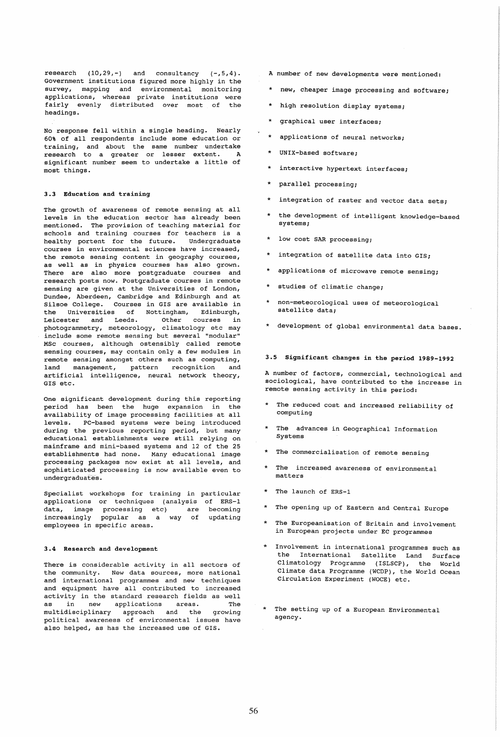research  $(10,29,-)$  and consultancy  $(-,5,4)$ . Government institutions figured more highly in the survey, mapping and environmental monitoring applications, whereas private institutions were fairly evenly distributed over most of the headings.

No response fell within a single heading. Nearly 60% of all respondents include some education or training, and about the same number undertake<br>research to a greater or lesser extent. A research to a greater or lesser extent. significant number seem to undertake a little of most things.

# 3.3 Education and training

The growth of awareness of remote sensing at all levels in the education sector has already been mentioned. The provision of teaching material for schools and training courses for teachers is a healthy portent for the future. Undergraduate courses in environmental sciences have increased, the remote sensing content in geography courses, as well as in physics courses has also grown. There are also more postgraduate courses and research posts now. Postgraduate courses in remote sensing are given at the Universities of London, Dundee, Aberdeen, cambridge and Edinburgh and at Silsoe College. Courses in GIS are available in the Universities of Nottingham, Edinburgh, Leicester and Leeds. Other courses in photogrammetry, meteorology, climatology etc may include some remote sensing but several "modular" MSc courses, although ostensibly called remote sensing courses, may contain only a few modules in remote sensing amongst others such as computing, land management, pattern recognition and artificial intelligence, neural network theory, GIS etc.

One significant development during this reporting period has been the huge expansion in the availability of image processing facilities at all levels. PC-based systems were being introduced during the previous reporting period, but many educational establishments were still relying on mainframe and mini-based systems and 12 of the 25 establishments had none. Many educational image processing packages now exist at all levels, and sophisticated processing is now available even to undergraduates.

Specialist workshops for training in particular applications or techniques (analysis of ERS-l data, image processing etc) are increasingly popular as a way of employees in specific areas. becoming updating

### 3.4 Research and development

There is considerable activity in all sectors of the community. New data sources, more national and international programmes and new techniques and equipment have all contributed to increased activity in the standard research fields as well as in new applications areas. The multidisciplinary approach and the growing political awareness of environmental issues have also helped, as has the increased use of GIS.

- A number of new developments were mentioned:
- \* new, cheaper image processing and software;
- \* high resolution display systems;
- \* graphical user interfaces;
- \* applications of neural networks;
- \* UNIX-based software;
- \* interactive hypertext interfaces;
- \* parallel processing;
- \* integration of raster and vector data sets;
- \* the development of intelligent knowledge-based systems;
- \* low cost SAR processing;
- \* integration of satellite data into GIS;
- \* applications of microwave remote sensing;
- \* studies of climatic change;
- \* non-meteorological uses of meteorological satellite data;
- \* development of global environmental data bases.

# 3.5 Significant changes in the period 1989-1992

A number of factors, commercial, technological and sociological, have contributed to the increase in remote sensing activity in this period:

- \* The reduced cost and increased reliability of computing
- \* The advances in Geographical Information Systems
- \* The commercialisation of remote sensing
- \* The increased awareness of environmental matters
- \* The launch of ERS-l
- \* The opening up of Eastern and Central Europe
- \* The Europeanisation of Britain and involvement in European projects under EC programmes
- \* Involvement in international programmes such as the International Satellite Land Surface Climatology Programme (ISLSCP), the World Climate data Programme (WCDP), the World Ocean Circulation Experiment (WOCE) etc.
- \* The setting up of a European Environmental agency.